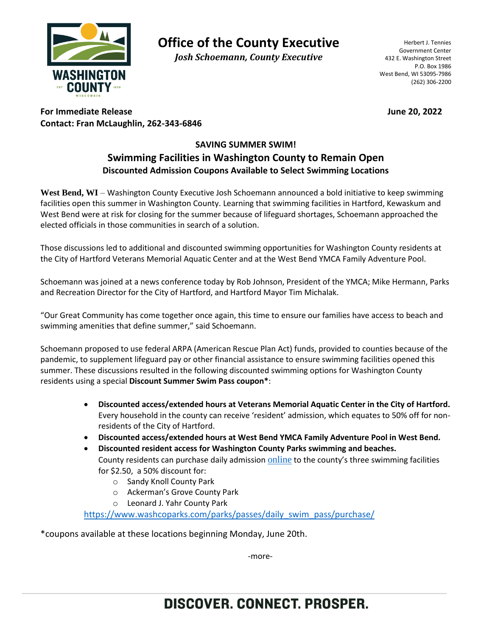

**Office of the County Executive**

*Josh Schoemann, County Executive*

Herbert J. Tennies Government Center 432 E. Washington Street P.O. Box 1986 West Bend, WI 53095-7986 (262) 306-2200

**For Immediate Release June 20, 2022 Contact: Fran McLaughlin, 262-343-6846**

## **SAVING SUMMER SWIM! Swimming Facilities in Washington County to Remain Open Discounted Admission Coupons Available to Select Swimming Locations**

West Bend, WI – Washington County Executive Josh Schoemann announced a bold initiative to keep swimming facilities open this summer in Washington County. Learning that swimming facilities in Hartford, Kewaskum and West Bend were at risk for closing for the summer because of lifeguard shortages, Schoemann approached the elected officials in those communities in search of a solution.

Those discussions led to additional and discounted swimming opportunities for Washington County residents at the City of Hartford Veterans Memorial Aquatic Center and at the West Bend YMCA Family Adventure Pool.

Schoemann was joined at a news conference today by Rob Johnson, President of the YMCA; Mike Hermann, Parks and Recreation Director for the City of Hartford, and Hartford Mayor Tim Michalak.

"Our Great Community has come together once again, this time to ensure our families have access to beach and swimming amenities that define summer," said Schoemann.

Schoemann proposed to use federal ARPA (American Rescue Plan Act) funds, provided to counties because of the pandemic, to supplement lifeguard pay or other financial assistance to ensure swimming facilities opened this summer. These discussions resulted in the following discounted swimming options for Washington County residents using a special **Discount Summer Swim Pass coupon\***:

- **Discounted access/extended hours at Veterans Memorial Aquatic Center in the City of Hartford.** Every household in the county can receive 'resident' admission, which equates to 50% off for nonresidents of the City of Hartford.
- **Discounted access/extended hours at West Bend YMCA Family Adventure Pool in West Bend.**

• **Discounted resident access for Washington County Parks swimming and beaches.** County residents can purchase daily admission [online](https://www.washcoparks.com/parks/passes/daily_swim_pass/purchase/) to the county's three swimming facilities for \$2.50, a 50% discount for:

- o Sandy Knoll County Park
- o Ackerman's Grove County Park
- o Leonard J. Yahr County Park

[https://www.washcoparks.com/parks/passes/daily\\_swim\\_pass/purchase/](https://www.washcoparks.com/parks/passes/daily_swim_pass/purchase/)

\*coupons available at these locations beginning Monday, June 20th.

-more-